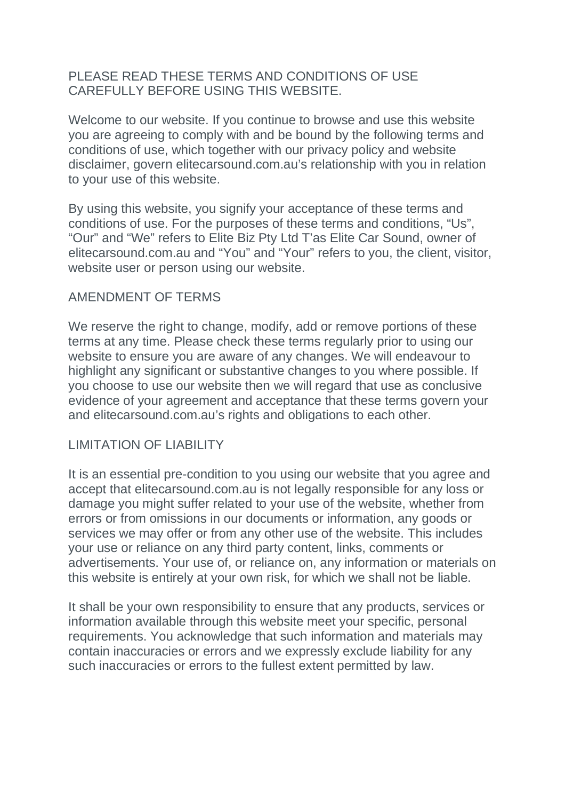### PLEASE READ THESE TERMS AND CONDITIONS OF USE CAREFULLY BEFORE USING THIS WEBSITE.

Welcome to our website. If you continue to browse and use this website you are agreeing to comply with and be bound by the following terms and conditions of use, which together with our privacy policy and website disclaimer, govern elitecarsound.com.au's relationship with you in relation to your use of this website.

By using this website, you signify your acceptance of these terms and conditions of use. For the purposes of these terms and conditions, "Us", "Our" and "We" refers to Elite Biz Pty Ltd T'as Elite Car Sound, owner of elitecarsound.com.au and "You" and "Your" refers to you, the client, visitor, website user or person using our website.

### AMENDMENT OF TERMS

We reserve the right to change, modify, add or remove portions of these terms at any time. Please check these terms regularly prior to using our website to ensure you are aware of any changes. We will endeavour to highlight any significant or substantive changes to you where possible. If you choose to use our website then we will regard that use as conclusive evidence of your agreement and acceptance that these terms govern your and elitecarsound.com.au's rights and obligations to each other.

#### LIMITATION OF LIABILITY

It is an essential pre-condition to you using our website that you agree and accept that elitecarsound.com.au is not legally responsible for any loss or damage you might suffer related to your use of the website, whether from errors or from omissions in our documents or information, any goods or services we may offer or from any other use of the website. This includes your use or reliance on any third party content, links, comments or advertisements. Your use of, or reliance on, any information or materials on this website is entirely at your own risk, for which we shall not be liable.

It shall be your own responsibility to ensure that any products, services or information available through this website meet your specific, personal requirements. You acknowledge that such information and materials may contain inaccuracies or errors and we expressly exclude liability for any such inaccuracies or errors to the fullest extent permitted by law.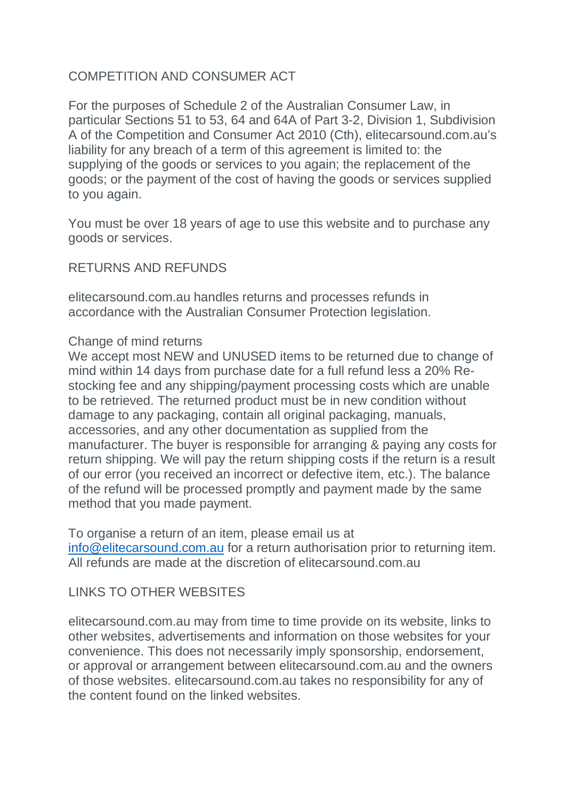# COMPETITION AND CONSUMER ACT

For the purposes of Schedule 2 of the Australian Consumer Law, in particular Sections 51 to 53, 64 and 64A of Part 3-2, Division 1, Subdivision A of the Competition and Consumer Act 2010 (Cth), elitecarsound.com.au's liability for any breach of a term of this agreement is limited to: the supplying of the goods or services to you again; the replacement of the goods; or the payment of the cost of having the goods or services supplied to you again.

You must be over 18 years of age to use this website and to purchase any goods or services.

#### RETURNS AND REFUNDS

elitecarsound.com.au handles returns and processes refunds in accordance with the Australian Consumer Protection legislation.

#### Change of mind returns

We accept most NEW and UNUSED items to be returned due to change of mind within 14 days from purchase date for a full refund less a 20% Restocking fee and any shipping/payment processing costs which are unable to be retrieved. The returned product must be in new condition without damage to any packaging, contain all original packaging, manuals, accessories, and any other documentation as supplied from the manufacturer. The buyer is responsible for arranging & paying any costs for return shipping. We will pay the return shipping costs if the return is a result of our error (you received an incorrect or defective item, etc.). The balance of the refund will be processed promptly and payment made by the same method that you made payment.

To organise a return of an item, please email us at [info@elitecarsound.com.au](mailto:info@elitecarsound.com.au) for a return authorisation prior to returning item. All refunds are made at the discretion of elitecarsound.com.au

### LINKS TO OTHER WEBSITES

elitecarsound.com.au may from time to time provide on its website, links to other websites, advertisements and information on those websites for your convenience. This does not necessarily imply sponsorship, endorsement, or approval or arrangement between elitecarsound.com.au and the owners of those websites. elitecarsound.com.au takes no responsibility for any of the content found on the linked websites.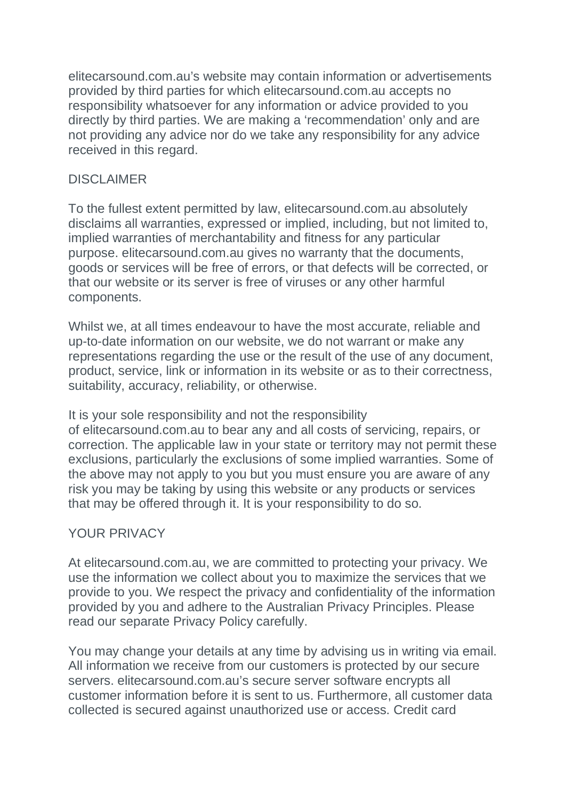elitecarsound.com.au's website may contain information or advertisements provided by third parties for which elitecarsound.com.au accepts no responsibility whatsoever for any information or advice provided to you directly by third parties. We are making a 'recommendation' only and are not providing any advice nor do we take any responsibility for any advice received in this regard.

# DISCLAIMER

To the fullest extent permitted by law, elitecarsound.com.au absolutely disclaims all warranties, expressed or implied, including, but not limited to, implied warranties of merchantability and fitness for any particular purpose. elitecarsound.com.au gives no warranty that the documents, goods or services will be free of errors, or that defects will be corrected, or that our website or its server is free of viruses or any other harmful components.

Whilst we, at all times endeavour to have the most accurate, reliable and up-to-date information on our website, we do not warrant or make any representations regarding the use or the result of the use of any document, product, service, link or information in its website or as to their correctness, suitability, accuracy, reliability, or otherwise.

It is your sole responsibility and not the responsibility

of elitecarsound.com.au to bear any and all costs of servicing, repairs, or correction. The applicable law in your state or territory may not permit these exclusions, particularly the exclusions of some implied warranties. Some of the above may not apply to you but you must ensure you are aware of any risk you may be taking by using this website or any products or services that may be offered through it. It is your responsibility to do so.

# YOUR PRIVACY

At elitecarsound.com.au, we are committed to protecting your privacy. We use the information we collect about you to maximize the services that we provide to you. We respect the privacy and confidentiality of the information provided by you and adhere to the Australian Privacy Principles. Please read our separate Privacy Policy carefully.

You may change your details at any time by advising us in writing via email. All information we receive from our customers is protected by our secure servers. elitecarsound.com.au's secure server software encrypts all customer information before it is sent to us. Furthermore, all customer data collected is secured against unauthorized use or access. Credit card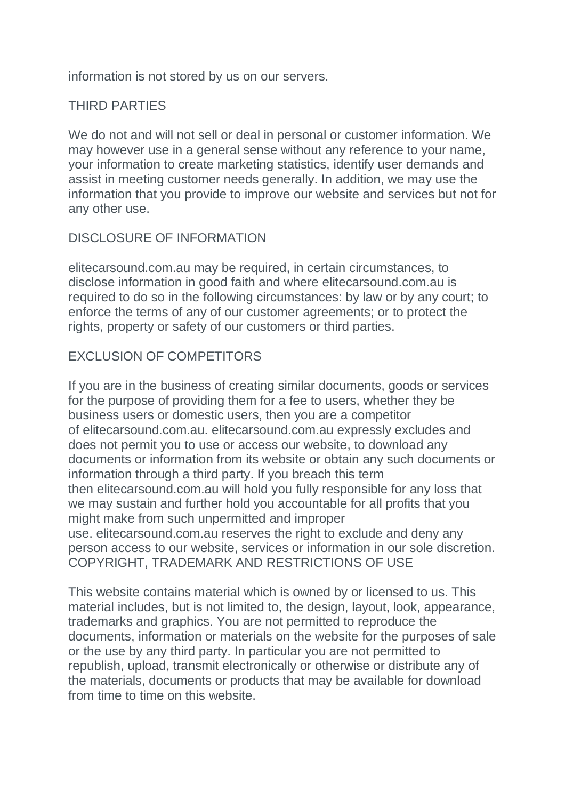information is not stored by us on our servers.

# THIRD PARTIES

We do not and will not sell or deal in personal or customer information. We may however use in a general sense without any reference to your name, your information to create marketing statistics, identify user demands and assist in meeting customer needs generally. In addition, we may use the information that you provide to improve our website and services but not for any other use.

### DISCLOSURE OF INFORMATION

elitecarsound.com.au may be required, in certain circumstances, to disclose information in good faith and where elitecarsound.com.au is required to do so in the following circumstances: by law or by any court; to enforce the terms of any of our customer agreements; or to protect the rights, property or safety of our customers or third parties.

# EXCLUSION OF COMPETITORS

If you are in the business of creating similar documents, goods or services for the purpose of providing them for a fee to users, whether they be business users or domestic users, then you are a competitor of elitecarsound.com.au. elitecarsound.com.au expressly excludes and does not permit you to use or access our website, to download any documents or information from its website or obtain any such documents or information through a third party. If you breach this term then elitecarsound.com.au will hold you fully responsible for any loss that we may sustain and further hold you accountable for all profits that you might make from such unpermitted and improper use. elitecarsound.com.au reserves the right to exclude and deny any person access to our website, services or information in our sole discretion. COPYRIGHT, TRADEMARK AND RESTRICTIONS OF USE

This website contains material which is owned by or licensed to us. This material includes, but is not limited to, the design, layout, look, appearance, trademarks and graphics. You are not permitted to reproduce the documents, information or materials on the website for the purposes of sale or the use by any third party. In particular you are not permitted to republish, upload, transmit electronically or otherwise or distribute any of the materials, documents or products that may be available for download from time to time on this website.